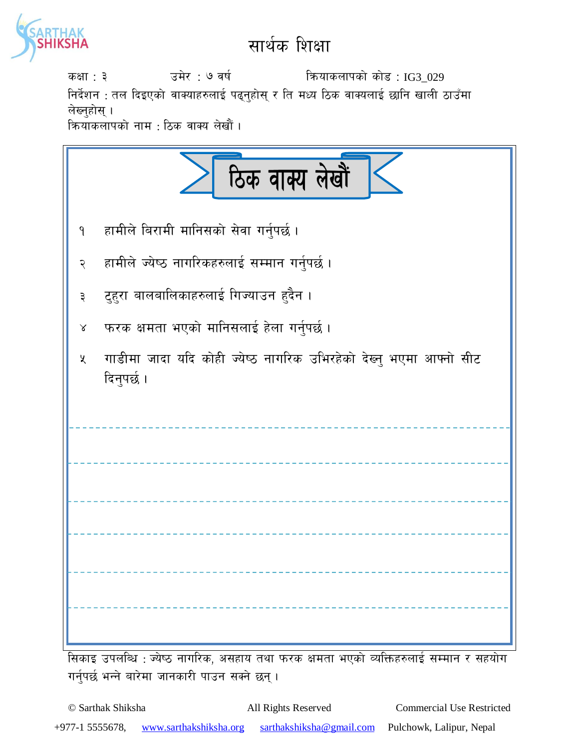

## सार्थक शिक्षा

sIff : # pd]/ : & jif{ lqmofsnfksf] sf]8 : IG3\_029 निर्देशन : तल दिइएको वाक्याहरुलाई पढ्नुहोस् र ति मध्य ठिक वाक्यलाई छानि खाली ठाउँमा लेख्नुहोस् । <u>क्रियाकलापको नाम : ठिक वाक्य लेखौं ।</u>

| ठिक वाक्य लेखौं                                                                            |
|--------------------------------------------------------------------------------------------|
| हामीले बिरामी मानिसको सेवा गर्नुपर्छ।<br>۹                                                 |
| हामीले ज्येष्ठ नागरिकहरुलाई सम्मान गर्नुपर्छ ।<br>२                                        |
| टुहुरा बालबालिकाहरुलाई गिज्याउन हुदैन ।<br>३                                               |
| फरक क्षमता भएको मानिसलाई हेला गर्नुपर्छ।<br>$\propto$                                      |
| गाडीमा जादा यदि कोही ज्येष्ठ नागरिक उभिरहेको देख्न् भएमा आफ्नो सीट<br>$\chi$<br>दिनुपर्छ । |
|                                                                                            |
|                                                                                            |
|                                                                                            |
|                                                                                            |
|                                                                                            |
|                                                                                            |

l;sfO pknlAw : Ho]i7 gful/s, c;xfo tyf km/s Ifdtf ePsf] JolQmx?nfO{ ;Ddfg / ;xof]u गर्नुपर्छ भन्ने बारेमा जानकारी पाउन सक्ने छन्।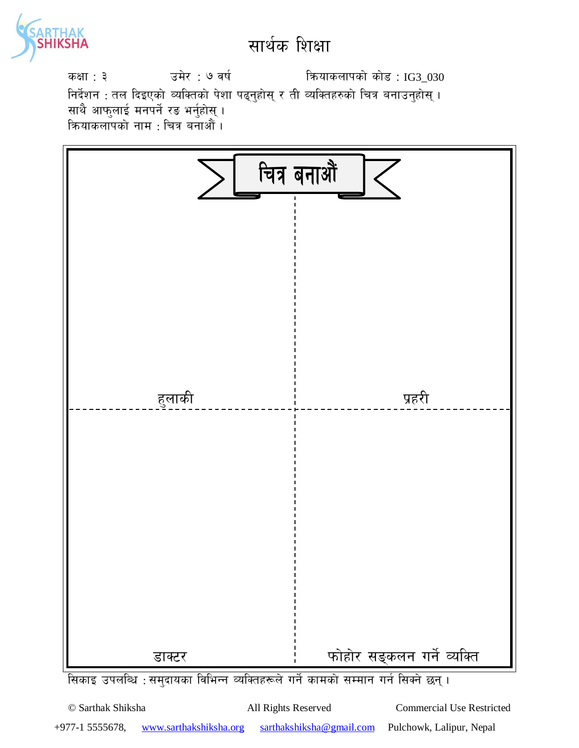

## सार्थक शिक्षा

sIff : # pd]/ : & jif{ lqmofsnfksf] sf]8 : IG3\_030 निर्देशन : तल दिइएको व्यक्तिको पेशा पढ्नुहोस् र ती व्यक्तिहरुको चित्र बनाउनुहोस् । साथै आफुलाई मनपर्ने रङ भर्नुहोस् । कियाकलापको नाम $\,$ : चित्र बनाऔं ।



© Sarthak Shiksha All Rights Reserved Commercial Use Restricted +977-1 5555678, www.sarthakshiksha.org sarthakshiksha@gmail.com Pulchowk, Lalipur, Nepal